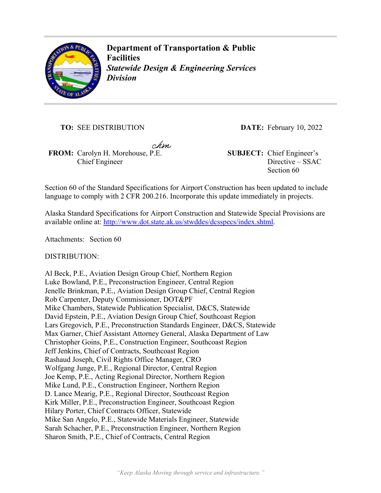

**Department of Transportation & Public Facilities**  *Statewide Design & Engineering Services Division* 

**TO:** SEE DISTRIBUTION **DATE:** February 10, 2022

chm,

**FROM:** Carolyn H. Morehouse, P.E. **SUBJECT:** Chief Engineer's Chief Engineer

Directive – SSAC Section 60

Section 60 of the Standard Specifications for Airport Construction has been updated to include language to comply with 2 CFR 200.216. Incorporate this update immediately in projects.

Alaska Standard Specifications for Airport Construction and Statewide Special Provisions are available online at: http://www.dot.state.ak.us/stwddes/dcsspecs/index.shtml.

Attachments: Section 60

DISTRIBUTION:

Al Beck, P.E., Aviation Design Group Chief, Northern Region Luke Bowland, P.E., Preconstruction Engineer, Central Region Jenelle Brinkman, P.E., Aviation Design Group Chief, Central Region Rob Carpenter, Deputy Commissioner, DOT&PF Mike Chambers, Statewide Publication Specialist, D&CS, Statewide David Epstein, P.E., Aviation Design Group Chief, Southcoast Region Lars Gregovich, P.E., Preconstruction Standards Engineer, D&CS, Statewide Max Garner, Chief Assistant Attorney General, Alaska Department of Law Christopher Goins, P.E., Construction Engineer, Southcoast Region Jeff Jenkins, Chief of Contracts, Southcoast Region Rashaud Joseph, Civil Rights Office Manager, CRO Wolfgang Junge, P.E., Regional Director, Central Region Joe Kemp, P.E., Acting Regional Director, Northern Region Mike Lund, P.E., Construction Engineer, Northern Region D. Lance Mearig, P.E., Regional Director, Southcoast Region Kirk Miller, P.E., Preconstruction Engineer, Southcoast Region Hilary Porter, Chief Contracts Officer, Statewide Mike San Angelo, P.E., Statewide Materials Engineer, Statewide Sarah Schacher, P.E., Preconstruction Engineer, Northern Region Sharon Smith, P.E., Chief of Contracts, Central Region